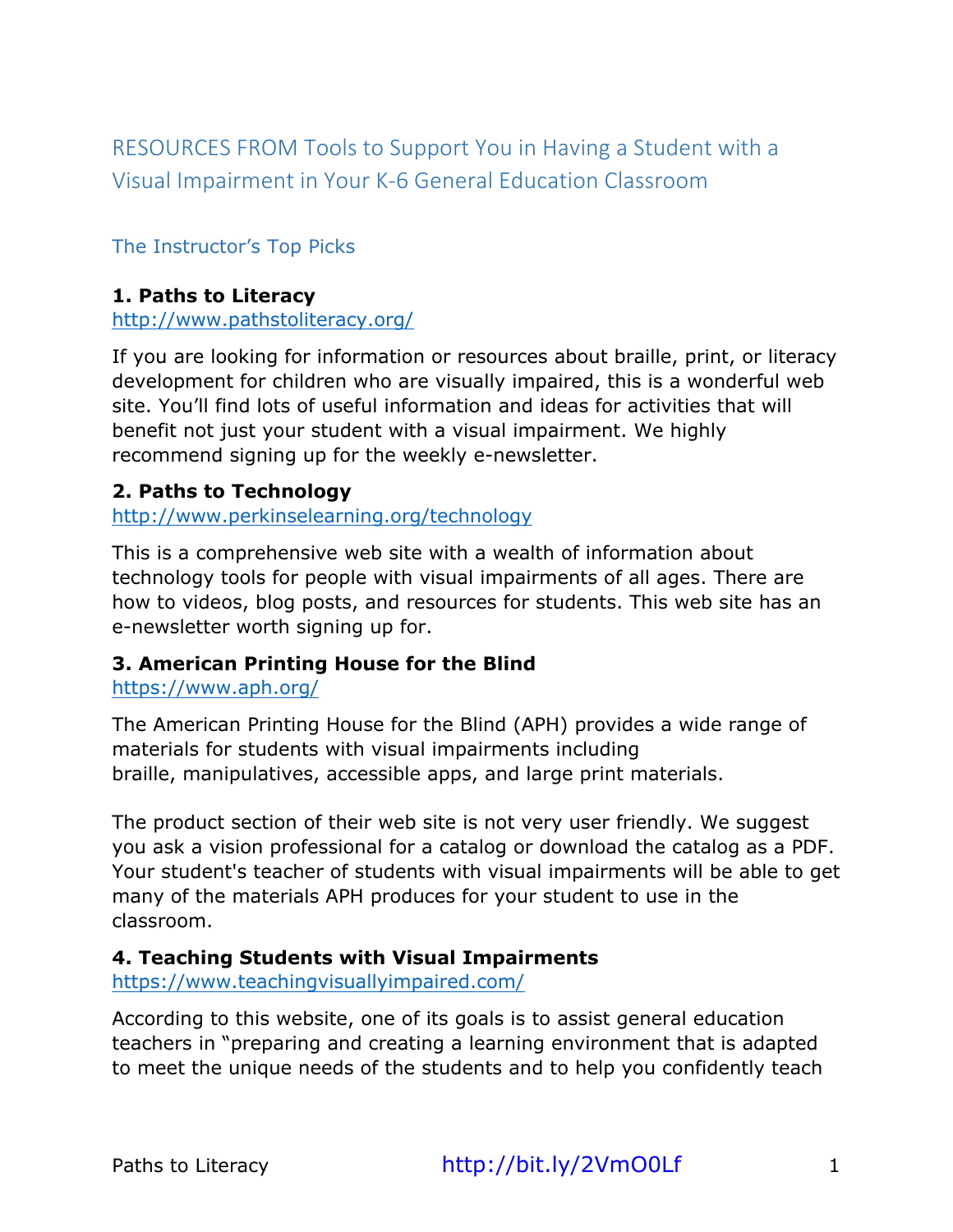RESOURCES FROM Tools to Support You in Having a Student with a Visual Impairment in Your K-6 General Education Classroom

## The Instructor's Top Picks

#### **1. Paths to Literacy**

http://www.pathstoliteracy.org/

If you are looking for information or resources about braille, print, or literacy development for children who are visually impaired, this is a wonderful web site. You'll find lots of useful information and ideas for activities that will benefit not just your student with a visual impairment. We highly recommend signing up for the weekly e-newsletter.

#### **2. Paths to Technology**

http://www.perkinselearning.org/technology

This is a comprehensive web site with a wealth of information about technology tools for people with visual impairments of all ages. There are how to videos, blog posts, and resources for students. This web site has an e-newsletter worth signing up for.

#### **3. American Printing House for the Blind**

https://www.aph.org/

The American Printing House for the Blind (APH) provides a wide range of materials for students with visual impairments including braille, manipulatives, accessible apps, and large print materials.

The product section of their web site is not very user friendly. We suggest you ask a vision professional for a catalog or download the catalog as a PDF. Your student's teacher of students with visual impairments will be able to get many of the materials APH produces for your student to use in the classroom.

### **4. Teaching Students with Visual Impairments**

https://www.teachingvisuallyimpaired.com/

According to this website, one of its goals is to assist general education teachers in "preparing and creating a learning environment that is adapted to meet the unique needs of the students and to help you confidently teach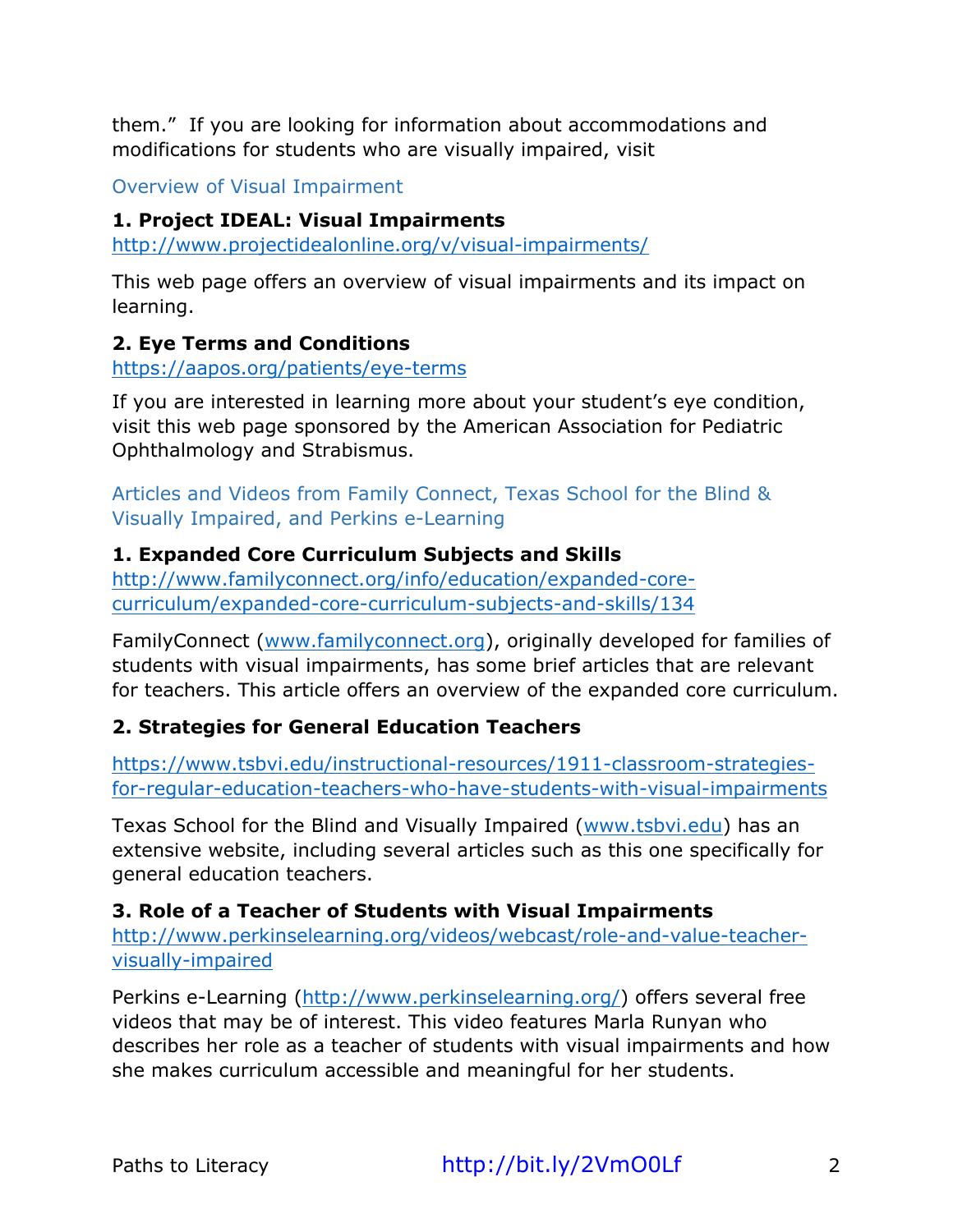them." If you are looking for information about accommodations and modifications for students who are visually impaired, visit

Overview of Visual Impairment

## **1. Project IDEAL: Visual Impairments**

http://www.projectidealonline.org/v/visual-impairments/

This web page offers an overview of visual impairments and its impact on learning.

# **2. Eye Terms and Conditions**

https://aapos.org/patients/eye-terms

If you are interested in learning more about your student's eye condition, visit this web page sponsored by the American Association for Pediatric Ophthalmology and Strabismus.

Articles and Videos from Family Connect, Texas School for the Blind & Visually Impaired, and Perkins e-Learning

# **1. Expanded Core Curriculum Subjects and Skills**

http://www.familyconnect.org/info/education/expanded-corecurriculum/expanded-core-curriculum-subjects-and-skills/134

FamilyConnect (www.familyconnect.org), originally developed for families of students with visual impairments, has some brief articles that are relevant for teachers. This article offers an overview of the expanded core curriculum.

# **2. Strategies for General Education Teachers**

https://www.tsbvi.edu/instructional-resources/1911-classroom-strategiesfor-regular-education-teachers-who-have-students-with-visual-impairments

Texas School for the Blind and Visually Impaired (www.tsbvi.edu) has an extensive website, including several articles such as this one specifically for general education teachers.

**3. Role of a Teacher of Students with Visual Impairments**

http://www.perkinselearning.org/videos/webcast/role-and-value-teachervisually-impaired

Perkins e-Learning (http://www.perkinselearning.org/) offers several free videos that may be of interest. This video features Marla Runyan who describes her role as a teacher of students with visual impairments and how she makes curriculum accessible and meaningful for her students.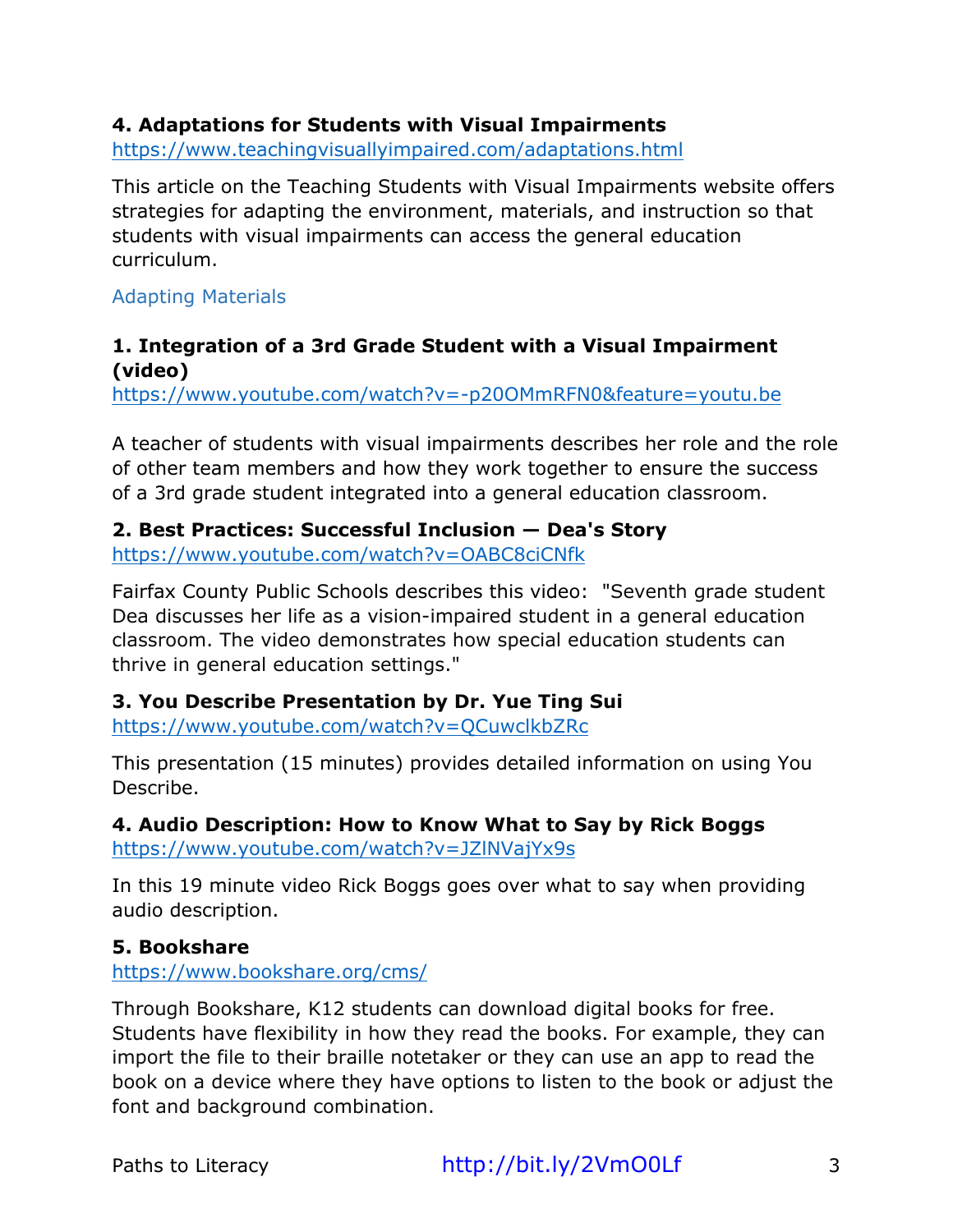## **4. Adaptations for Students with Visual Impairments**

https://www.teachingvisuallyimpaired.com/adaptations.html

This article on the Teaching Students with Visual Impairments website offers strategies for adapting the environment, materials, and instruction so that students with visual impairments can access the general education curriculum.

Adapting Materials

### **1. Integration of a 3rd Grade Student with a Visual Impairment (video)**

https://www.youtube.com/watch?v=-p20OMmRFN0&feature=youtu.be

A teacher of students with visual impairments describes her role and the role of other team members and how they work together to ensure the success of a 3rd grade student integrated into a general education classroom.

### **2. Best Practices: Successful Inclusion — Dea's Story**

https://www.youtube.com/watch?v=OABC8ciCNfk

Fairfax County Public Schools describes this video: "Seventh grade student Dea discusses her life as a vision-impaired student in a general education classroom. The video demonstrates how special education students can thrive in general education settings."

### **3. You Describe Presentation by Dr. Yue Ting Sui**

https://www.youtube.com/watch?v=QCuwclkbZRc

This presentation (15 minutes) provides detailed information on using You Describe.

**4. Audio Description: How to Know What to Say by Rick Boggs** https://www.youtube.com/watch?v=JZlNVajYx9s

In this 19 minute video Rick Boggs goes over what to say when providing audio description.

### **5. Bookshare**

https://www.bookshare.org/cms/

Through Bookshare, K12 students can download digital books for free. Students have flexibility in how they read the books. For example, they can import the file to their braille notetaker or they can use an app to read the book on a device where they have options to listen to the book or adjust the font and background combination.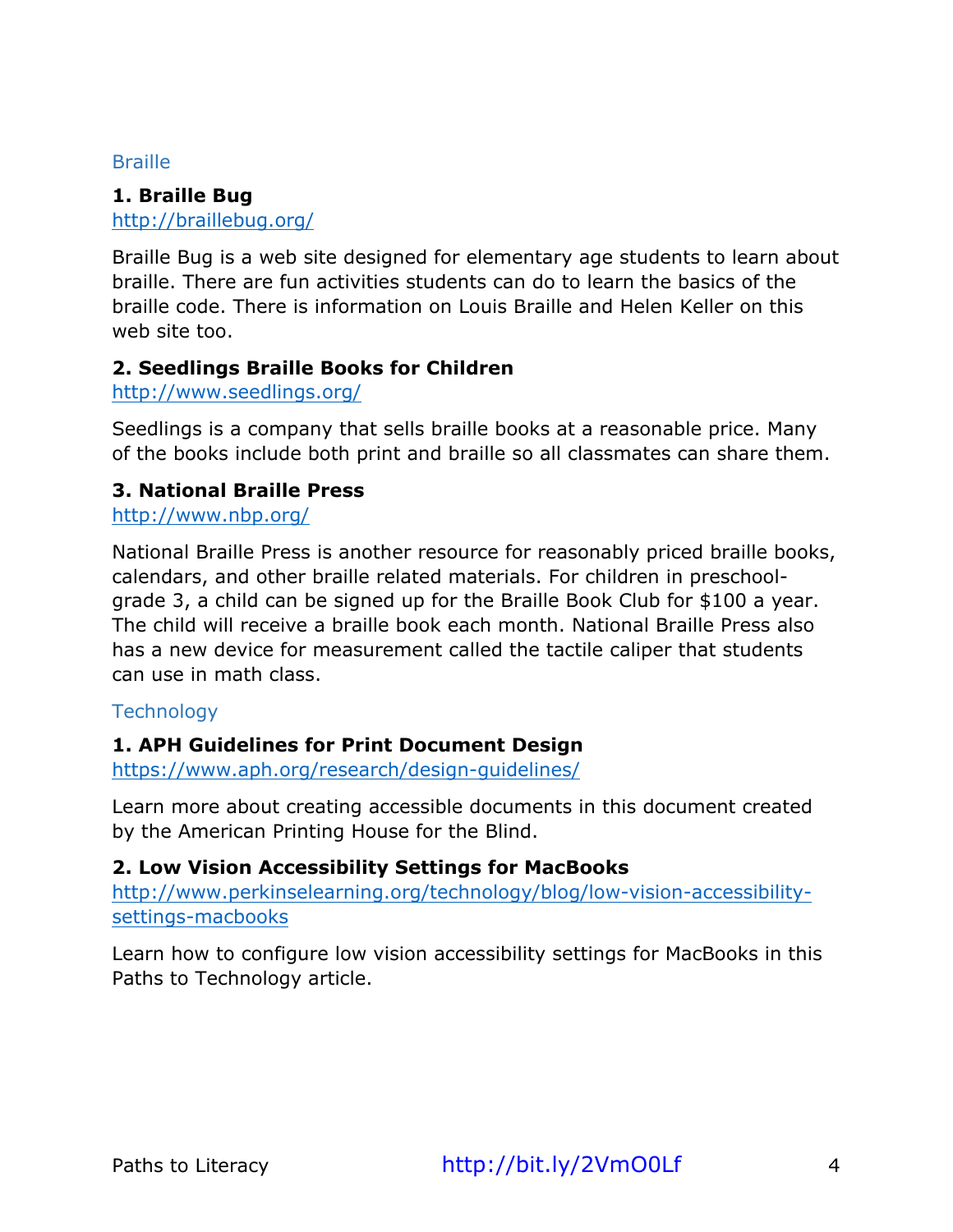#### **Braille**

## **1. Braille Bug**

http://braillebug.org/

Braille Bug is a web site designed for elementary age students to learn about braille. There are fun activities students can do to learn the basics of the braille code. There is information on Louis Braille and Helen Keller on this web site too.

### **2. Seedlings Braille Books for Children**

http://www.seedlings.org/

Seedlings is a company that sells braille books at a reasonable price. Many of the books include both print and braille so all classmates can share them.

### **3. National Braille Press**

http://www.nbp.org/

National Braille Press is another resource for reasonably priced braille books, calendars, and other braille related materials. For children in preschoolgrade 3, a child can be signed up for the Braille Book Club for \$100 a year. The child will receive a braille book each month. National Braille Press also has a new device for measurement called the tactile caliper that students can use in math class.

## **Technology**

## **1. APH Guidelines for Print Document Design**

https://www.aph.org/research/design-guidelines/

Learn more about creating accessible documents in this document created by the American Printing House for the Blind.

## **2. Low Vision Accessibility Settings for MacBooks**

http://www.perkinselearning.org/technology/blog/low-vision-accessibilitysettings-macbooks

Learn how to configure low vision accessibility settings for MacBooks in this Paths to Technology article.